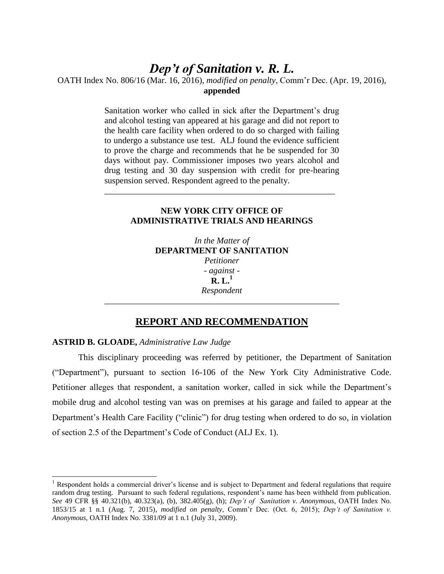# *Dep't of Sanitation v. R. L.*

OATH Index No. 806/16 (Mar. 16, 2016), *modified on penalty*, Comm'r Dec. (Apr. 19, 2016), **appended**

> Sanitation worker who called in sick after the Department's drug and alcohol testing van appeared at his garage and did not report to the health care facility when ordered to do so charged with failing to undergo a substance use test. ALJ found the evidence sufficient to prove the charge and recommends that he be suspended for 30 days without pay. Commissioner imposes two years alcohol and drug testing and 30 day suspension with credit for pre-hearing suspension served. Respondent agreed to the penalty.

## **NEW YORK CITY OFFICE OF ADMINISTRATIVE TRIALS AND HEARINGS**

\_\_\_\_\_\_\_\_\_\_\_\_\_\_\_\_\_\_\_\_\_\_\_\_\_\_\_\_\_\_\_\_\_\_\_\_\_\_\_\_\_\_\_\_\_\_\_\_\_\_\_\_\_

*In the Matter of*  **DEPARTMENT OF SANITATION** *Petitioner - against* -  $\tilde{\mathbf{R}}$ **.**  $\mathbf{L}$ ,  $^1$ *Respondent \_\_\_\_\_\_\_\_\_\_\_\_\_\_\_\_\_\_\_\_\_\_\_\_\_\_\_\_\_\_\_\_\_\_\_\_\_\_\_\_\_\_\_\_\_\_\_\_\_\_\_\_\_\_*

# **REPORT AND RECOMMENDATION**

# **ASTRID B. GLOADE,** *Administrative Law Judge*

 $\overline{\phantom{a}}$ 

This disciplinary proceeding was referred by petitioner, the Department of Sanitation ("Department"), pursuant to section 16-106 of the New York City Administrative Code. Petitioner alleges that respondent, a sanitation worker, called in sick while the Department's mobile drug and alcohol testing van was on premises at his garage and failed to appear at the Department's Health Care Facility ("clinic") for drug testing when ordered to do so, in violation of section 2.5 of the Department's Code of Conduct (ALJ Ex. 1).

 $1$  Respondent holds a commercial driver's license and is subject to Department and federal regulations that require random drug testing. Pursuant to such federal regulations, respondent's name has been withheld from publication. *See* 49 CFR §§ 40.321(b), 40.323(a), (b), 382.405(g), (h); *Dep't of Sanitation v. Anonymous*, OATH Index No. 1853/15 at 1 n.1 (Aug. 7, 2015), *modified on penalty*, Comm'r Dec. (Oct. 6, 2015); *Dep't of Sanitation v. Anonymous,* OATH Index No. 3381/09 at 1 n.1 (July 31, 2009).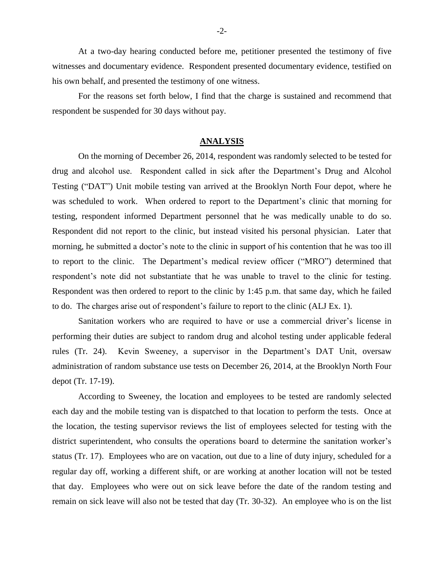At a two-day hearing conducted before me, petitioner presented the testimony of five witnesses and documentary evidence. Respondent presented documentary evidence, testified on his own behalf, and presented the testimony of one witness.

For the reasons set forth below, I find that the charge is sustained and recommend that respondent be suspended for 30 days without pay.

#### **ANALYSIS**

On the morning of December 26, 2014, respondent was randomly selected to be tested for drug and alcohol use. Respondent called in sick after the Department's Drug and Alcohol Testing ("DAT") Unit mobile testing van arrived at the Brooklyn North Four depot, where he was scheduled to work. When ordered to report to the Department's clinic that morning for testing, respondent informed Department personnel that he was medically unable to do so. Respondent did not report to the clinic, but instead visited his personal physician. Later that morning, he submitted a doctor's note to the clinic in support of his contention that he was too ill to report to the clinic. The Department's medical review officer ("MRO") determined that respondent's note did not substantiate that he was unable to travel to the clinic for testing. Respondent was then ordered to report to the clinic by 1:45 p.m. that same day, which he failed to do. The charges arise out of respondent's failure to report to the clinic (ALJ Ex. 1).

Sanitation workers who are required to have or use a commercial driver's license in performing their duties are subject to random drug and alcohol testing under applicable federal rules (Tr. 24). Kevin Sweeney, a supervisor in the Department's DAT Unit, oversaw administration of random substance use tests on December 26, 2014, at the Brooklyn North Four depot (Tr. 17-19).

According to Sweeney, the location and employees to be tested are randomly selected each day and the mobile testing van is dispatched to that location to perform the tests. Once at the location, the testing supervisor reviews the list of employees selected for testing with the district superintendent, who consults the operations board to determine the sanitation worker's status (Tr. 17). Employees who are on vacation, out due to a line of duty injury, scheduled for a regular day off, working a different shift, or are working at another location will not be tested that day. Employees who were out on sick leave before the date of the random testing and remain on sick leave will also not be tested that day (Tr. 30-32). An employee who is on the list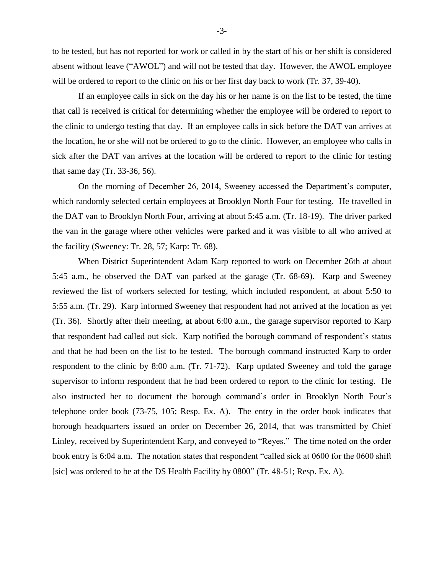to be tested, but has not reported for work or called in by the start of his or her shift is considered absent without leave ("AWOL") and will not be tested that day. However, the AWOL employee will be ordered to report to the clinic on his or her first day back to work (Tr. 37, 39-40).

If an employee calls in sick on the day his or her name is on the list to be tested, the time that call is received is critical for determining whether the employee will be ordered to report to the clinic to undergo testing that day. If an employee calls in sick before the DAT van arrives at the location, he or she will not be ordered to go to the clinic. However, an employee who calls in sick after the DAT van arrives at the location will be ordered to report to the clinic for testing that same day (Tr. 33-36, 56).

On the morning of December 26, 2014, Sweeney accessed the Department's computer, which randomly selected certain employees at Brooklyn North Four for testing. He travelled in the DAT van to Brooklyn North Four, arriving at about 5:45 a.m. (Tr. 18-19). The driver parked the van in the garage where other vehicles were parked and it was visible to all who arrived at the facility (Sweeney: Tr. 28, 57; Karp: Tr. 68).

When District Superintendent Adam Karp reported to work on December 26th at about 5:45 a.m., he observed the DAT van parked at the garage (Tr. 68-69). Karp and Sweeney reviewed the list of workers selected for testing, which included respondent, at about 5:50 to 5:55 a.m. (Tr. 29). Karp informed Sweeney that respondent had not arrived at the location as yet (Tr. 36). Shortly after their meeting, at about 6:00 a.m., the garage supervisor reported to Karp that respondent had called out sick. Karp notified the borough command of respondent's status and that he had been on the list to be tested. The borough command instructed Karp to order respondent to the clinic by 8:00 a.m. (Tr. 71-72). Karp updated Sweeney and told the garage supervisor to inform respondent that he had been ordered to report to the clinic for testing. He also instructed her to document the borough command's order in Brooklyn North Four's telephone order book (73-75, 105; Resp. Ex. A). The entry in the order book indicates that borough headquarters issued an order on December 26, 2014, that was transmitted by Chief Linley, received by Superintendent Karp, and conveyed to "Reyes." The time noted on the order book entry is 6:04 a.m. The notation states that respondent "called sick at 0600 for the 0600 shift [sic] was ordered to be at the DS Health Facility by 0800" (Tr. 48-51; Resp. Ex. A).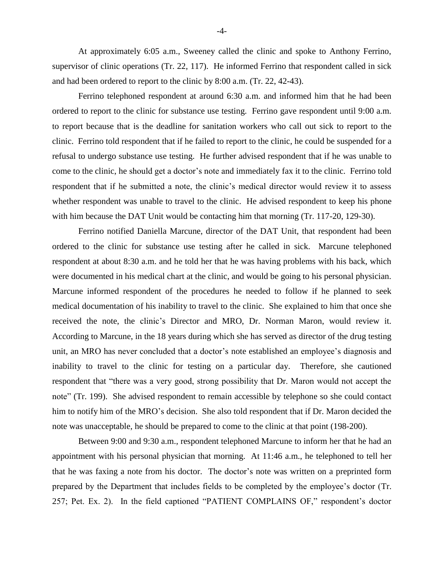At approximately 6:05 a.m., Sweeney called the clinic and spoke to Anthony Ferrino, supervisor of clinic operations (Tr. 22, 117). He informed Ferrino that respondent called in sick and had been ordered to report to the clinic by 8:00 a.m. (Tr. 22, 42-43).

Ferrino telephoned respondent at around 6:30 a.m. and informed him that he had been ordered to report to the clinic for substance use testing. Ferrino gave respondent until 9:00 a.m. to report because that is the deadline for sanitation workers who call out sick to report to the clinic. Ferrino told respondent that if he failed to report to the clinic, he could be suspended for a refusal to undergo substance use testing. He further advised respondent that if he was unable to come to the clinic, he should get a doctor's note and immediately fax it to the clinic. Ferrino told respondent that if he submitted a note, the clinic's medical director would review it to assess whether respondent was unable to travel to the clinic. He advised respondent to keep his phone with him because the DAT Unit would be contacting him that morning (Tr. 117-20, 129-30).

Ferrino notified Daniella Marcune, director of the DAT Unit, that respondent had been ordered to the clinic for substance use testing after he called in sick. Marcune telephoned respondent at about 8:30 a.m. and he told her that he was having problems with his back, which were documented in his medical chart at the clinic, and would be going to his personal physician. Marcune informed respondent of the procedures he needed to follow if he planned to seek medical documentation of his inability to travel to the clinic. She explained to him that once she received the note, the clinic's Director and MRO, Dr. Norman Maron, would review it. According to Marcune, in the 18 years during which she has served as director of the drug testing unit, an MRO has never concluded that a doctor's note established an employee's diagnosis and inability to travel to the clinic for testing on a particular day. Therefore, she cautioned respondent that "there was a very good, strong possibility that Dr. Maron would not accept the note" (Tr. 199). She advised respondent to remain accessible by telephone so she could contact him to notify him of the MRO's decision. She also told respondent that if Dr. Maron decided the note was unacceptable, he should be prepared to come to the clinic at that point (198-200).

Between 9:00 and 9:30 a.m., respondent telephoned Marcune to inform her that he had an appointment with his personal physician that morning. At 11:46 a.m., he telephoned to tell her that he was faxing a note from his doctor. The doctor's note was written on a preprinted form prepared by the Department that includes fields to be completed by the employee's doctor (Tr. 257; Pet. Ex. 2). In the field captioned "PATIENT COMPLAINS OF," respondent's doctor

-4-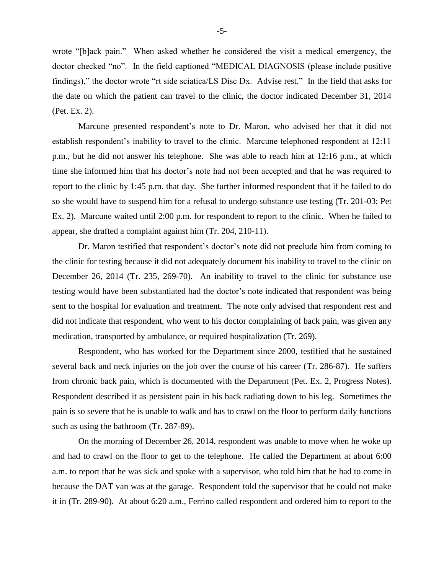wrote "[b]ack pain." When asked whether he considered the visit a medical emergency, the doctor checked "no". In the field captioned "MEDICAL DIAGNOSIS (please include positive findings)," the doctor wrote "rt side sciatica/LS Disc Dx. Advise rest." In the field that asks for the date on which the patient can travel to the clinic, the doctor indicated December 31, 2014 (Pet. Ex. 2).

Marcune presented respondent's note to Dr. Maron, who advised her that it did not establish respondent's inability to travel to the clinic. Marcune telephoned respondent at 12:11 p.m., but he did not answer his telephone. She was able to reach him at 12:16 p.m., at which time she informed him that his doctor's note had not been accepted and that he was required to report to the clinic by 1:45 p.m. that day. She further informed respondent that if he failed to do so she would have to suspend him for a refusal to undergo substance use testing (Tr. 201-03; Pet Ex. 2). Marcune waited until 2:00 p.m. for respondent to report to the clinic. When he failed to appear, she drafted a complaint against him (Tr. 204, 210-11).

Dr. Maron testified that respondent's doctor's note did not preclude him from coming to the clinic for testing because it did not adequately document his inability to travel to the clinic on December 26, 2014 (Tr. 235, 269-70). An inability to travel to the clinic for substance use testing would have been substantiated had the doctor's note indicated that respondent was being sent to the hospital for evaluation and treatment. The note only advised that respondent rest and did not indicate that respondent, who went to his doctor complaining of back pain, was given any medication, transported by ambulance, or required hospitalization (Tr. 269).

Respondent, who has worked for the Department since 2000, testified that he sustained several back and neck injuries on the job over the course of his career (Tr. 286-87). He suffers from chronic back pain, which is documented with the Department (Pet. Ex. 2, Progress Notes). Respondent described it as persistent pain in his back radiating down to his leg. Sometimes the pain is so severe that he is unable to walk and has to crawl on the floor to perform daily functions such as using the bathroom (Tr. 287-89).

On the morning of December 26, 2014, respondent was unable to move when he woke up and had to crawl on the floor to get to the telephone. He called the Department at about 6:00 a.m. to report that he was sick and spoke with a supervisor, who told him that he had to come in because the DAT van was at the garage. Respondent told the supervisor that he could not make it in (Tr. 289-90). At about 6:20 a.m., Ferrino called respondent and ordered him to report to the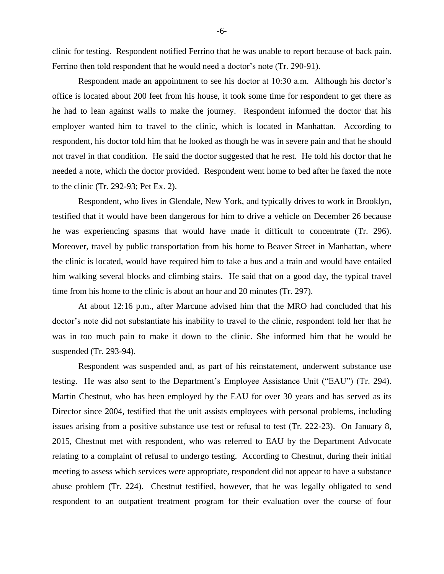clinic for testing. Respondent notified Ferrino that he was unable to report because of back pain. Ferrino then told respondent that he would need a doctor's note (Tr. 290-91).

Respondent made an appointment to see his doctor at 10:30 a.m. Although his doctor's office is located about 200 feet from his house, it took some time for respondent to get there as he had to lean against walls to make the journey. Respondent informed the doctor that his employer wanted him to travel to the clinic, which is located in Manhattan. According to respondent, his doctor told him that he looked as though he was in severe pain and that he should not travel in that condition. He said the doctor suggested that he rest. He told his doctor that he needed a note, which the doctor provided. Respondent went home to bed after he faxed the note to the clinic (Tr. 292-93; Pet Ex. 2).

Respondent, who lives in Glendale, New York, and typically drives to work in Brooklyn, testified that it would have been dangerous for him to drive a vehicle on December 26 because he was experiencing spasms that would have made it difficult to concentrate (Tr. 296). Moreover, travel by public transportation from his home to Beaver Street in Manhattan, where the clinic is located, would have required him to take a bus and a train and would have entailed him walking several blocks and climbing stairs. He said that on a good day, the typical travel time from his home to the clinic is about an hour and 20 minutes (Tr. 297).

At about 12:16 p.m., after Marcune advised him that the MRO had concluded that his doctor's note did not substantiate his inability to travel to the clinic, respondent told her that he was in too much pain to make it down to the clinic. She informed him that he would be suspended (Tr. 293-94).

Respondent was suspended and, as part of his reinstatement, underwent substance use testing. He was also sent to the Department's Employee Assistance Unit ("EAU") (Tr. 294). Martin Chestnut, who has been employed by the EAU for over 30 years and has served as its Director since 2004, testified that the unit assists employees with personal problems, including issues arising from a positive substance use test or refusal to test (Tr. 222-23). On January 8, 2015, Chestnut met with respondent, who was referred to EAU by the Department Advocate relating to a complaint of refusal to undergo testing. According to Chestnut, during their initial meeting to assess which services were appropriate, respondent did not appear to have a substance abuse problem (Tr. 224). Chestnut testified, however, that he was legally obligated to send respondent to an outpatient treatment program for their evaluation over the course of four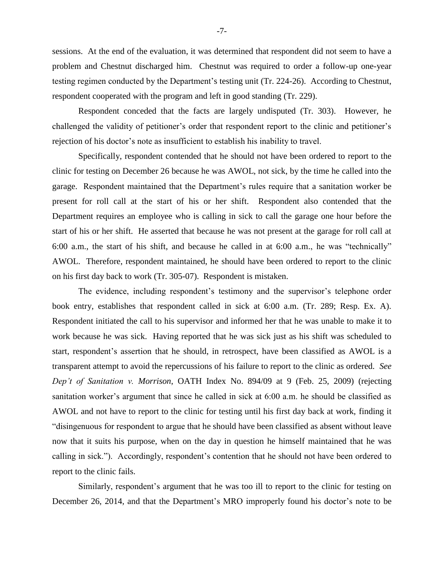sessions. At the end of the evaluation, it was determined that respondent did not seem to have a problem and Chestnut discharged him. Chestnut was required to order a follow-up one-year testing regimen conducted by the Department's testing unit (Tr. 224-26). According to Chestnut, respondent cooperated with the program and left in good standing (Tr. 229).

Respondent conceded that the facts are largely undisputed (Tr. 303). However, he challenged the validity of petitioner's order that respondent report to the clinic and petitioner's rejection of his doctor's note as insufficient to establish his inability to travel.

Specifically, respondent contended that he should not have been ordered to report to the clinic for testing on December 26 because he was AWOL, not sick, by the time he called into the garage. Respondent maintained that the Department's rules require that a sanitation worker be present for roll call at the start of his or her shift. Respondent also contended that the Department requires an employee who is calling in sick to call the garage one hour before the start of his or her shift. He asserted that because he was not present at the garage for roll call at 6:00 a.m., the start of his shift, and because he called in at 6:00 a.m., he was "technically" AWOL. Therefore, respondent maintained, he should have been ordered to report to the clinic on his first day back to work (Tr. 305-07). Respondent is mistaken.

The evidence, including respondent's testimony and the supervisor's telephone order book entry, establishes that respondent called in sick at 6:00 a.m. (Tr. 289; Resp. Ex. A). Respondent initiated the call to his supervisor and informed her that he was unable to make it to work because he was sick. Having reported that he was sick just as his shift was scheduled to start, respondent's assertion that he should, in retrospect, have been classified as AWOL is a transparent attempt to avoid the repercussions of his failure to report to the clinic as ordered. *See Dep't of Sanitation v. Morrison*, OATH Index No. 894/09 at 9 (Feb. 25, 2009) (rejecting sanitation worker's argument that since he called in sick at 6:00 a.m. he should be classified as AWOL and not have to report to the clinic for testing until his first day back at work, finding it "disingenuous for respondent to argue that he should have been classified as absent without leave now that it suits his purpose, when on the day in question he himself maintained that he was calling in sick."). Accordingly, respondent's contention that he should not have been ordered to report to the clinic fails.

Similarly, respondent's argument that he was too ill to report to the clinic for testing on December 26, 2014, and that the Department's MRO improperly found his doctor's note to be

-7-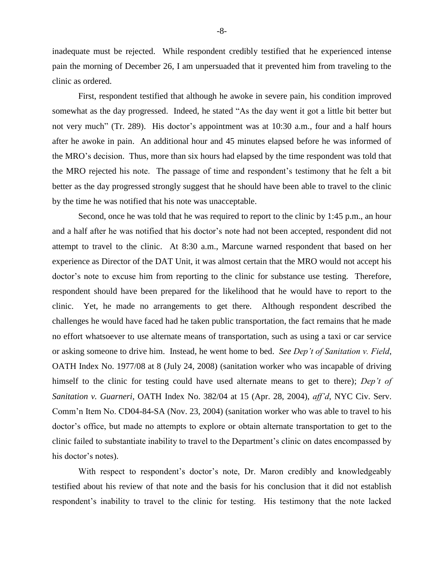inadequate must be rejected. While respondent credibly testified that he experienced intense pain the morning of December 26, I am unpersuaded that it prevented him from traveling to the clinic as ordered.

First, respondent testified that although he awoke in severe pain, his condition improved somewhat as the day progressed. Indeed, he stated "As the day went it got a little bit better but not very much" (Tr. 289). His doctor's appointment was at 10:30 a.m., four and a half hours after he awoke in pain. An additional hour and 45 minutes elapsed before he was informed of the MRO's decision. Thus, more than six hours had elapsed by the time respondent was told that the MRO rejected his note. The passage of time and respondent's testimony that he felt a bit better as the day progressed strongly suggest that he should have been able to travel to the clinic by the time he was notified that his note was unacceptable.

Second, once he was told that he was required to report to the clinic by 1:45 p.m., an hour and a half after he was notified that his doctor's note had not been accepted, respondent did not attempt to travel to the clinic. At 8:30 a.m., Marcune warned respondent that based on her experience as Director of the DAT Unit, it was almost certain that the MRO would not accept his doctor's note to excuse him from reporting to the clinic for substance use testing. Therefore, respondent should have been prepared for the likelihood that he would have to report to the clinic. Yet, he made no arrangements to get there. Although respondent described the challenges he would have faced had he taken public transportation, the fact remains that he made no effort whatsoever to use alternate means of transportation, such as using a taxi or car service or asking someone to drive him. Instead, he went home to bed. *See Dep't of Sanitation v. Field*, OATH Index No. 1977/08 at 8 (July 24, 2008) (sanitation worker who was incapable of driving himself to the clinic for testing could have used alternate means to get to there); *Dep't of Sanitation v. Guarneri*, OATH Index No. 382/04 at 15 (Apr. 28, 2004), *aff'd*, NYC Civ. Serv. Comm'n Item No. CD04-84-SA (Nov. 23, 2004) (sanitation worker who was able to travel to his doctor's office, but made no attempts to explore or obtain alternate transportation to get to the clinic failed to substantiate inability to travel to the Department's clinic on dates encompassed by his doctor's notes).

With respect to respondent's doctor's note, Dr. Maron credibly and knowledgeably testified about his review of that note and the basis for his conclusion that it did not establish respondent's inability to travel to the clinic for testing. His testimony that the note lacked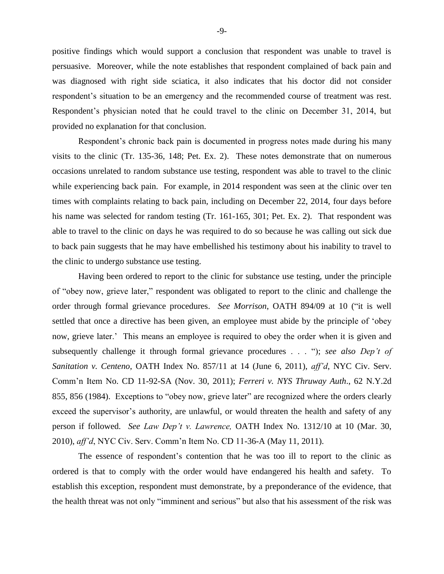positive findings which would support a conclusion that respondent was unable to travel is persuasive. Moreover, while the note establishes that respondent complained of back pain and was diagnosed with right side sciatica, it also indicates that his doctor did not consider respondent's situation to be an emergency and the recommended course of treatment was rest. Respondent's physician noted that he could travel to the clinic on December 31, 2014, but provided no explanation for that conclusion.

Respondent's chronic back pain is documented in progress notes made during his many visits to the clinic (Tr. 135-36, 148; Pet. Ex. 2). These notes demonstrate that on numerous occasions unrelated to random substance use testing, respondent was able to travel to the clinic while experiencing back pain. For example, in 2014 respondent was seen at the clinic over ten times with complaints relating to back pain, including on December 22, 2014, four days before his name was selected for random testing (Tr. 161-165, 301; Pet. Ex. 2). That respondent was able to travel to the clinic on days he was required to do so because he was calling out sick due to back pain suggests that he may have embellished his testimony about his inability to travel to the clinic to undergo substance use testing.

Having been ordered to report to the clinic for substance use testing, under the principle of "obey now, grieve later," respondent was obligated to report to the clinic and challenge the order through formal grievance procedures. *See Morrison*, OATH 894/09 at 10 ("it is well settled that once a directive has been given, an employee must abide by the principle of 'obey now, grieve later.' This means an employee is required to obey the order when it is given and subsequently challenge it through formal grievance procedures . . . "); *see also Dep't of Sanitation v. Centeno*, OATH Index No. 857/11 at 14 (June 6, 2011), *aff'd*, NYC Civ. Serv. Comm'n Item No. CD 11-92-SA (Nov. 30, 2011); *Ferreri v. NYS Thruway Auth*., 62 N.Y.2d 855, 856 (1984). Exceptions to "obey now, grieve later" are recognized where the orders clearly exceed the supervisor's authority, are unlawful, or would threaten the health and safety of any person if followed. *See Law Dep't v. Lawrence,* OATH Index No. 1312/10 at 10 (Mar. 30, 2010), *aff'd*, NYC Civ. Serv. Comm'n Item No. CD 11-36-A (May 11, 2011).

The essence of respondent's contention that he was too ill to report to the clinic as ordered is that to comply with the order would have endangered his health and safety. To establish this exception, respondent must demonstrate, by a preponderance of the evidence, that the health threat was not only "imminent and serious" but also that his assessment of the risk was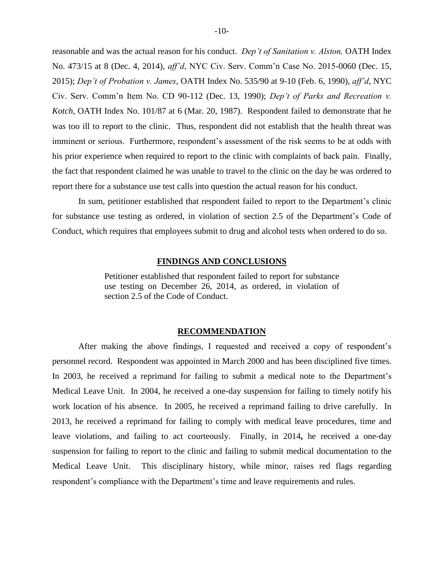reasonable and was the actual reason for his conduct. *Dep't of Sanitation v. Alston,* OATH Index No. 473/15 at 8 (Dec. 4, 2014), *aff'd*, NYC Civ. Serv. Comm'n Case No. 2015-0060 (Dec. 15, 2015); *Dep't of Probation v. James*, OATH Index No. 535/90 at 9-10 (Feb. 6, 1990), *aff'd*, NYC Civ. Serv. Comm'n Item No. CD 90-112 (Dec. 13, 1990); *Dep't of Parks and Recreation v. Kotch*, OATH Index No. 101/87 at 6 (Mar. 20, 1987). Respondent failed to demonstrate that he was too ill to report to the clinic. Thus, respondent did not establish that the health threat was imminent or serious. Furthermore, respondent's assessment of the risk seems to be at odds with his prior experience when required to report to the clinic with complaints of back pain. Finally, the fact that respondent claimed he was unable to travel to the clinic on the day he was ordered to report there for a substance use test calls into question the actual reason for his conduct.

In sum, petitioner established that respondent failed to report to the Department's clinic for substance use testing as ordered, in violation of section 2.5 of the Department's Code of Conduct, which requires that employees submit to drug and alcohol tests when ordered to do so.

#### **FINDINGS AND CONCLUSIONS**

Petitioner established that respondent failed to report for substance use testing on December 26, 2014, as ordered, in violation of section 2.5 of the Code of Conduct.

#### **RECOMMENDATION**

After making the above findings, I requested and received a copy of respondent's personnel record. Respondent was appointed in March 2000 and has been disciplined five times. In 2003, he received a reprimand for failing to submit a medical note to the Department's Medical Leave Unit. In 2004, he received a one-day suspension for failing to timely notify his work location of his absence. In 2005, he received a reprimand failing to drive carefully. In 2013, he received a reprimand for failing to comply with medical leave procedures, time and leave violations, and failing to act courteously. Finally, in 2014**,** he received a one-day suspension for failing to report to the clinic and failing to submit medical documentation to the Medical Leave Unit. This disciplinary history, while minor, raises red flags regarding respondent's compliance with the Department's time and leave requirements and rules.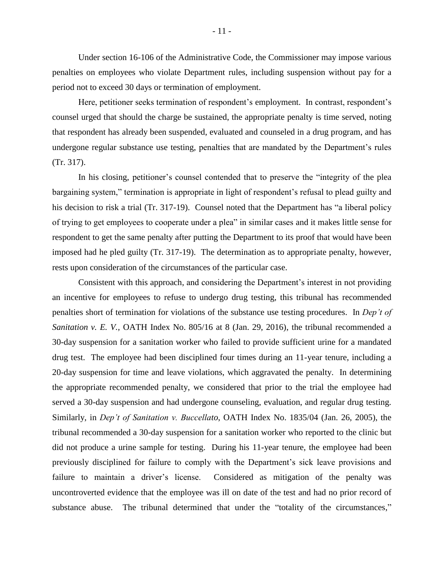Under section 16-106 of the Administrative Code, the Commissioner may impose various penalties on employees who violate Department rules, including suspension without pay for a period not to exceed 30 days or termination of employment.

Here, petitioner seeks termination of respondent's employment. In contrast, respondent's counsel urged that should the charge be sustained, the appropriate penalty is time served, noting that respondent has already been suspended, evaluated and counseled in a drug program, and has undergone regular substance use testing, penalties that are mandated by the Department's rules (Tr. 317).

In his closing, petitioner's counsel contended that to preserve the "integrity of the plea bargaining system," termination is appropriate in light of respondent's refusal to plead guilty and his decision to risk a trial (Tr. 317-19). Counsel noted that the Department has "a liberal policy of trying to get employees to cooperate under a plea" in similar cases and it makes little sense for respondent to get the same penalty after putting the Department to its proof that would have been imposed had he pled guilty (Tr. 317-19). The determination as to appropriate penalty, however, rests upon consideration of the circumstances of the particular case.

Consistent with this approach, and considering the Department's interest in not providing an incentive for employees to refuse to undergo drug testing, this tribunal has recommended penalties short of termination for violations of the substance use testing procedures. In *Dep't of Sanitation v. E. V., OATH Index No. 805/16 at 8 (Jan. 29, 2016), the tribunal recommended a* 30-day suspension for a sanitation worker who failed to provide sufficient urine for a mandated drug test. The employee had been disciplined four times during an 11-year tenure, including a 20-day suspension for time and leave violations, which aggravated the penalty. In determining the appropriate recommended penalty, we considered that prior to the trial the employee had served a 30-day suspension and had undergone counseling, evaluation, and regular drug testing. Similarly, in *Dep't of Sanitation v. Buccellato*, OATH Index No. 1835/04 (Jan. 26, 2005), the tribunal recommended a 30-day suspension for a sanitation worker who reported to the clinic but did not produce a urine sample for testing. During his 11-year tenure, the employee had been previously disciplined for failure to comply with the Department's sick leave provisions and failure to maintain a driver's license. Considered as mitigation of the penalty was uncontroverted evidence that the employee was ill on date of the test and had no prior record of substance abuse. The tribunal determined that under the "totality of the circumstances,"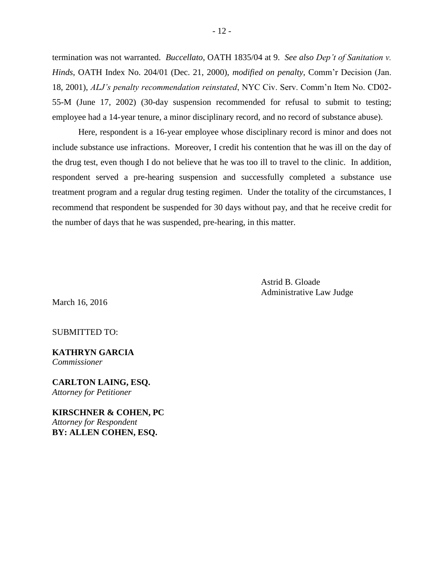termination was not warranted. *Buccellato*, OATH 1835/04 at 9. *See also Dep't of Sanitation v. Hinds*, OATH Index No. 204/01 (Dec. 21, 2000), *modified on penalty*, Comm'r Decision (Jan. 18, 2001), *ALJ's penalty recommendation reinstated*, NYC Civ. Serv. Comm'n Item No. CD02- 55-M (June 17, 2002) (30-day suspension recommended for refusal to submit to testing; employee had a 14-year tenure, a minor disciplinary record, and no record of substance abuse).

Here, respondent is a 16-year employee whose disciplinary record is minor and does not include substance use infractions. Moreover, I credit his contention that he was ill on the day of the drug test, even though I do not believe that he was too ill to travel to the clinic. In addition, respondent served a pre-hearing suspension and successfully completed a substance use treatment program and a regular drug testing regimen. Under the totality of the circumstances, I recommend that respondent be suspended for 30 days without pay, and that he receive credit for the number of days that he was suspended, pre-hearing, in this matter.

> Astrid B. Gloade Administrative Law Judge

March 16, 2016

SUBMITTED TO:

**KATHRYN GARCIA** *Commissioner*

**CARLTON LAING, ESQ.** *Attorney for Petitioner*

**KIRSCHNER & COHEN, PC**  *Attorney for Respondent* **BY: ALLEN COHEN, ESQ.**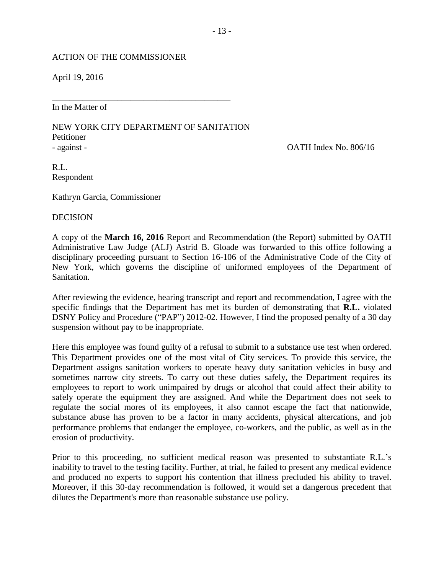# ACTION OF THE COMMISSIONER

April 19, 2016

In the Matter of

NEW YORK CITY DEPARTMENT OF SANITATION Petitioner - against - OATH Index No. 806/16

\_\_\_\_\_\_\_\_\_\_\_\_\_\_\_\_\_\_\_\_\_\_\_\_\_\_\_\_\_\_\_\_\_\_\_\_\_\_\_\_\_

R.L. Respondent

Kathryn Garcia, Commissioner

DECISION

A copy of the **March 16, 2016** Report and Recommendation (the Report) submitted by OATH Administrative Law Judge (ALJ) Astrid B. Gloade was forwarded to this office following a disciplinary proceeding pursuant to Section 16-106 of the Administrative Code of the City of New York, which governs the discipline of uniformed employees of the Department of Sanitation.

After reviewing the evidence, hearing transcript and report and recommendation, I agree with the specific findings that the Department has met its burden of demonstrating that **R.L.** violated DSNY Policy and Procedure ("PAP") 2012-02. However, I find the proposed penalty of a 30 day suspension without pay to be inappropriate.

Here this employee was found guilty of a refusal to submit to a substance use test when ordered. This Department provides one of the most vital of City services. To provide this service, the Department assigns sanitation workers to operate heavy duty sanitation vehicles in busy and sometimes narrow city streets. To carry out these duties safely, the Department requires its employees to report to work unimpaired by drugs or alcohol that could affect their ability to safely operate the equipment they are assigned. And while the Department does not seek to regulate the social mores of its employees, it also cannot escape the fact that nationwide, substance abuse has proven to be a factor in many accidents, physical altercations, and job performance problems that endanger the employee, co-workers, and the public, as well as in the erosion of productivity.

Prior to this proceeding, no sufficient medical reason was presented to substantiate R.L.'s inability to travel to the testing facility. Further, at trial, he failed to present any medical evidence and produced no experts to support his contention that illness precluded his ability to travel. Moreover, if this 30-day recommendation is followed, it would set a dangerous precedent that dilutes the Department's more than reasonable substance use policy.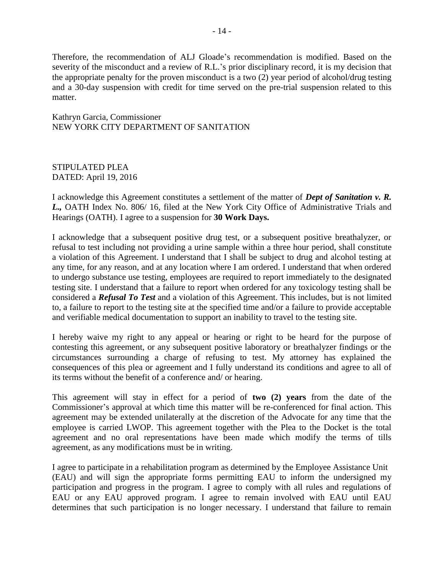Therefore, the recommendation of ALJ Gloade's recommendation is modified. Based on the severity of the misconduct and a review of R.L.'s prior disciplinary record, it is my decision that the appropriate penalty for the proven misconduct is a two (2) year period of alcohol/drug testing and a 30-day suspension with credit for time served on the pre-trial suspension related to this matter.

Kathryn Garcia, Commissioner NEW YORK CITY DEPARTMENT OF SANITATION

STIPULATED PLEA DATED: April 19, 2016

I acknowledge this Agreement constitutes a settlement of the matter of *Dept of Sanitation v. R. L.,* OATH Index No. 806/ 16, filed at the New York City Office of Administrative Trials and Hearings (OATH). I agree to a suspension for **30 Work Days.**

I acknowledge that a subsequent positive drug test, or a subsequent positive breathalyzer, or refusal to test including not providing a urine sample within a three hour period, shall constitute a violation of this Agreement. I understand that I shall be subject to drug and alcohol testing at any time, for any reason, and at any location where I am ordered. I understand that when ordered to undergo substance use testing, employees are required to report immediately to the designated testing site. I understand that a failure to report when ordered for any toxicology testing shall be considered a *Refusal To Test* and a violation of this Agreement. This includes, but is not limited to, a failure to report to the testing site at the specified time and/or a failure to provide acceptable and verifiable medical documentation to support an inability to travel to the testing site.

I hereby waive my right to any appeal or hearing or right to be heard for the purpose of contesting this agreement, or any subsequent positive laboratory or breathalyzer findings or the circumstances surrounding a charge of refusing to test. My attorney has explained the consequences of this plea or agreement and I fully understand its conditions and agree to all of its terms without the benefit of a conference and/ or hearing.

This agreement will stay in effect for a period of **two (2) years** from the date of the Commissioner's approval at which time this matter will be re-conferenced for final action. This agreement may be extended unilaterally at the discretion of the Advocate for any time that the employee is carried LWOP. This agreement together with the Plea to the Docket is the total agreement and no oral representations have been made which modify the terms of tills agreement, as any modifications must be in writing.

I agree to participate in a rehabilitation program as determined by the Employee Assistance Unit (EAU) and will sign the appropriate forms permitting EAU to inform the undersigned my participation and progress in the program. I agree to comply with all rules and regulations of EAU or any EAU approved program. I agree to remain involved with EAU until EAU determines that such participation is no longer necessary. I understand that failure to remain